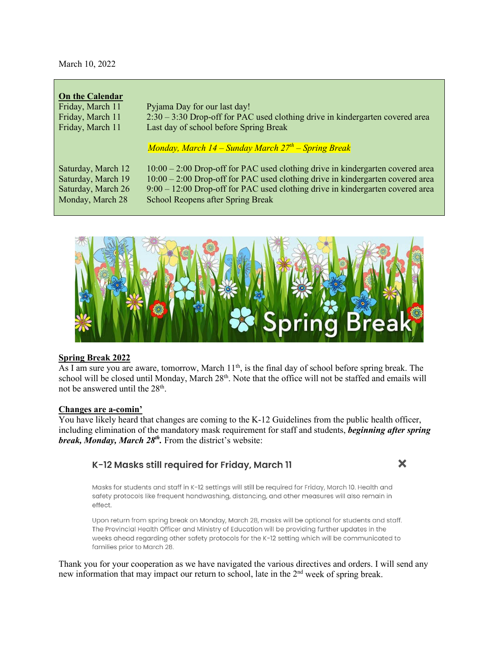March 10, 2022

| <b>On the Calendar</b> |                                                                                  |
|------------------------|----------------------------------------------------------------------------------|
| Friday, March 11       | Pyjama Day for our last day!                                                     |
| Friday, March 11       | $2:30 - 3:30$ Drop-off for PAC used clothing drive in kindergarten covered area  |
| Friday, March 11       | Last day of school before Spring Break                                           |
|                        |                                                                                  |
|                        | Monday, March $14$ – Sunday March $27th$ – Spring Break                          |
|                        |                                                                                  |
| Saturday, March 12     | $10:00 - 2:00$ Drop-off for PAC used clothing drive in kindergarten covered area |
| Saturday, March 19     | $10:00 - 2:00$ Drop-off for PAC used clothing drive in kindergarten covered area |
| Saturday, March 26     | $9:00 - 12:00$ Drop-off for PAC used clothing drive in kindergarten covered area |
| Monday, March 28       | School Reopens after Spring Break                                                |
|                        |                                                                                  |



## **Spring Break 2022**

As I am sure you are aware, tomorrow, March 11<sup>th</sup>, is the final day of school before spring break. The school will be closed until Monday, March 28<sup>th</sup>. Note that the office will not be staffed and emails will not be answered until the 28<sup>th</sup>.

#### **Changes are a-comin'**

You have likely heard that changes are coming to the K-12 Guidelines from the public health officer, including elimination of the mandatory mask requirement for staff and students, *beginning after spring break, Monday, March 28<sup>th</sup>*. From the district's website:

# K-12 Masks still required for Friday, March 11

X

Masks for students and staff in K-12 settings will still be required for Friday, March 10. Health and safety protocols like frequent handwashing, distancing, and other measures will also remain in effect.

Upon return from spring break on Monday, March 28, masks will be optional for students and staff. The Provincial Health Officer and Ministry of Education will be providing further updates in the weeks ahead regarding other safety protocols for the K-12 setting which will be communicated to families prior to March 28.

Thank you for your cooperation as we have navigated the various directives and orders. I will send any new information that may impact our return to school, late in the 2<sup>nd</sup> week of spring break.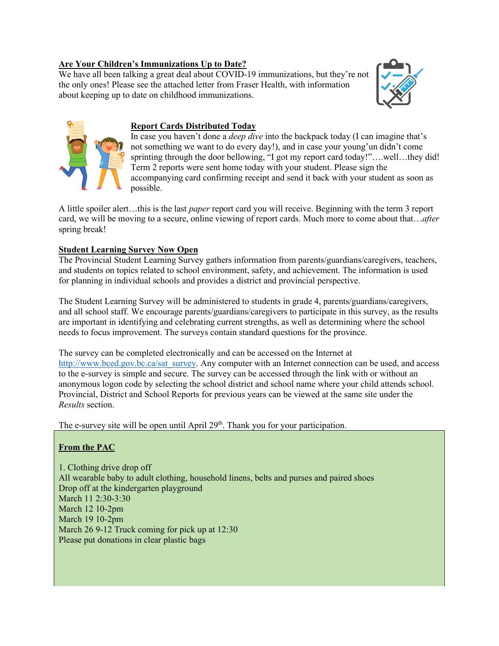### **Are Your Children's Immunizations Up to Date?**

We have all been talking a great deal about COVID-19 immunizations, but they're not the only ones! Please see the attached letter from Fraser Health, with information about keeping up to date on childhood immunizations.





## **Report Cards Distributed Today**

In case you haven't done a *deep dive* into the backpack today (I can imagine that's not something we want to do every day!), and in case your young'un didn't come sprinting through the door bellowing, "I got my report card today!"….well…they did! Term 2 reports were sent home today with your student. Please sign the accompanying card confirming receipt and send it back with your student as soon as possible.

A little spoiler alert…this is the last *paper* report card you will receive. Beginning with the term 3 report card, we will be moving to a secure, online viewing of report cards. Much more to come about that…*after* spring break!

## **Student Learning Survey Now Open**

The Provincial Student Learning Survey gathers information from parents/guardians/caregivers, teachers, and students on topics related to school environment, safety, and achievement. The information is used for planning in individual schools and provides a district and provincial perspective.

The Student Learning Survey will be administered to students in grade 4, parents/guardians/caregivers, and all school staff. We encourage parents/guardians/caregivers to participate in this survey, as the results are important in identifying and celebrating current strengths, as well as determining where the school needs to focus improvement. The surveys contain standard questions for the province.

The survey can be completed electronically and can be accessed on the Internet at [http://www.bced.gov.bc.ca/sat\\_survey.](http://www.bced.gov.bc.ca/sat_survey) Any computer with an Internet connection can be used, and access to the e-survey is simple and secure. The survey can be accessed through the link with or without an anonymous logon code by selecting the school district and school name where your child attends school. Provincial, District and School Reports for previous years can be viewed at the same site under the *Results* section.

The e-survey site will be open until April  $29<sup>th</sup>$ . Thank you for your participation.

## **From the PAC**

1. Clothing drive drop off All wearable baby to adult clothing, household linens, belts and purses and paired shoes Drop off at the kindergarten playground March 11 2:30-3:30 March 12 10-2pm March 19 10-2pm March 26 9-12 Truck coming for pick up at 12:30 Please put donations in clear plastic bags